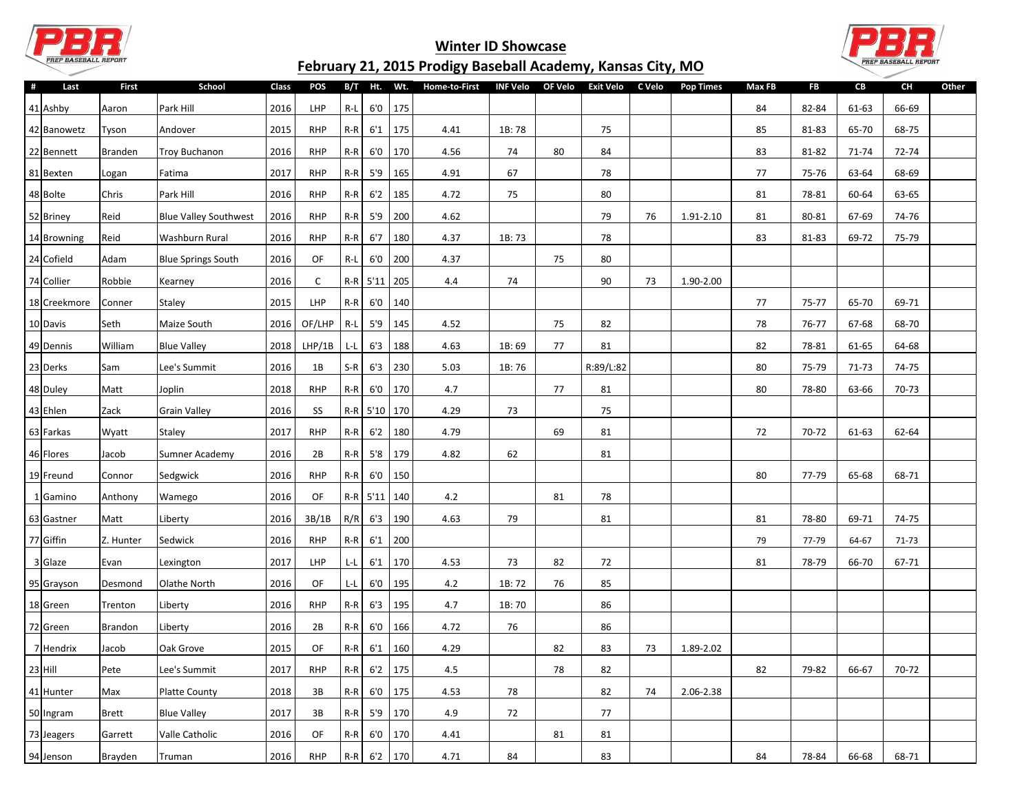

## **Winter ID Showcase February 21, 2015 Prodigy Baseball Academy, Kansas City, MO**



| #<br>Last    | <b>First</b>   | School                       | Class | POS             |                                |              | B/T Ht. Wt. | <b>Home-to-First</b> | <b>INF Velo</b> | OF Velo | Exit Velo | C Velo | <b>Pop Times</b> | Max FB | <b>FB</b> | CВ    | CH        | Other |
|--------------|----------------|------------------------------|-------|-----------------|--------------------------------|--------------|-------------|----------------------|-----------------|---------|-----------|--------|------------------|--------|-----------|-------|-----------|-------|
| 41 Ashby     | Aaron          | Park Hill                    | 2016  | <b>LHP</b>      | $R-L$                          | 6'0          | 175         |                      |                 |         |           |        |                  | 84     | 82-84     | 61-63 | 66-69     |       |
| 42 Banowetz  | Tyson          | Andover                      | 2015  | <b>RHP</b>      | $R-R$                          | 6'1          | 175         | 4.41                 | 1B:78           |         | 75        |        |                  | 85     | 81-83     | 65-70 | 68-75     |       |
| 22 Bennett   | Branden        | <b>Troy Buchanon</b>         | 2016  | <b>RHP</b>      | $R-R$                          | 6'0          | 170         | 4.56                 | 74              | 80      | 84        |        |                  | 83     | 81-82     | 71-74 | 72-74     |       |
| 81 Bexten    | Logan          | Fatima                       | 2017  | <b>RHP</b>      | $R-R$                          | 5'9          | 165         | 4.91                 | 67              |         | 78        |        |                  | 77     | 75-76     | 63-64 | 68-69     |       |
| 48 Bolte     | Chris          | Park Hill                    | 2016  | <b>RHP</b>      | $R-R$                          | 6'2          | 185         | 4.72                 | 75              |         | 80        |        |                  | 81     | 78-81     | 60-64 | 63-65     |       |
| 52 Briney    | Reid           | <b>Blue Valley Southwest</b> | 2016  | <b>RHP</b>      | $R-R$                          | 5'9          | 200         | 4.62                 |                 |         | 79        | 76     | 1.91-2.10        | 81     | 80-81     | 67-69 | 74-76     |       |
| 14 Browning  | Reid           | Washburn Rural               | 2016  | <b>RHP</b>      | $R-R$                          | 6'7          | 180         | 4.37                 | 1B: 73          |         | 78        |        |                  | 83     | 81-83     | 69-72 | 75-79     |       |
| 24 Cofield   | Adam           | <b>Blue Springs South</b>    | 2016  | OF              | $R-L$                          | 6'0          | 200         | 4.37                 |                 | 75      | 80        |        |                  |        |           |       |           |       |
| 74 Collier   | Robbie         | Kearney                      | 2016  | C               |                                | $R-R$ 5'11   | 205         | 4.4                  | 74              |         | 90        | 73     | 1.90-2.00        |        |           |       |           |       |
| 18 Creekmore | Conner         | Staley                       | 2015  | <b>LHP</b>      | $R-R$                          | 6'0          | 140         |                      |                 |         |           |        |                  | 77     | 75-77     | 65-70 | 69-71     |       |
| 10 Davis     | Seth           | Maize South                  | 2016  | OF/LHP          | $R-L$                          | 5'9          | 145         | 4.52                 |                 | 75      | 82        |        |                  | 78     | 76-77     | 67-68 | 68-70     |       |
| 49 Dennis    | William        | <b>Blue Valley</b>           | 2018  | LHP/1B          | ĿL                             | 6'3          | 188         | 4.63                 | 1B: 69          | 77      | 81        |        |                  | 82     | 78-81     | 61-65 | 64-68     |       |
| 23 Derks     | Sam            | Lee's Summit                 | 2016  | 1B              | $S-R$                          | 6'3          | 230         | 5.03                 | 1B: 76          |         | R:89/L:82 |        |                  | 80     | 75-79     | 71-73 | 74-75     |       |
| 48 Duley     | Matt           | Joplin                       | 2018  | <b>RHP</b>      | $R-R$                          | 6'0          | 170         | 4.7                  |                 | 77      | 81        |        |                  | 80     | 78-80     | 63-66 | 70-73     |       |
| 43 Ehlen     | Zack           | <b>Grain Valley</b>          | 2016  | SS              |                                | R-R 5'10 170 |             | 4.29                 | 73              |         | 75        |        |                  |        |           |       |           |       |
| 63 Farkas    | Wyatt          | Staley                       | 2017  | <b>RHP</b>      | $R-R$                          | 6'2          | 180         | 4.79                 |                 | 69      | 81        |        |                  | 72     | 70-72     | 61-63 | 62-64     |       |
| 46 Flores    | Jacob          | Sumner Academy               | 2016  | 2B              | $R-R$                          | 5'8          | 179         | 4.82                 | 62              |         | 81        |        |                  |        |           |       |           |       |
| 19Freund     | Connor         | Sedgwick                     | 2016  | <b>RHP</b>      | $R-R$                          | 6'0          | 150         |                      |                 |         |           |        |                  | 80     | 77-79     | 65-68 | 68-71     |       |
| 1 Gamino     | Anthony        | Wamego                       | 2016  | OF              |                                | $R-R$ 5'11   | 140         | 4.2                  |                 | 81      | 78        |        |                  |        |           |       |           |       |
| 63 Gastner   | Matt           | Liberty                      | 2016  | 3B/1B           | R/R                            | 6'3          | 190         | 4.63                 | 79              |         | 81        |        |                  | 81     | 78-80     | 69-71 | 74-75     |       |
| 77 Giffin    | Z. Hunter      | Sedwick                      | 2016  | <b>RHP</b>      | $R-R$                          | 6'1          | 200         |                      |                 |         |           |        |                  | 79     | 77-79     | 64-67 | 71-73     |       |
| 3 Glaze      | Evan           | Lexington                    | 2017  | <b>LHP</b>      | L-L                            | 6'1          | 170         | 4.53                 | 73              | 82      | 72        |        |                  | 81     | 78-79     | 66-70 | 67-71     |       |
| 95 Grayson   | Desmond        | Olathe North                 | 2016  | OF              | L-L                            | 6'0          | 195         | 4.2                  | 1B: 72          | 76      | 85        |        |                  |        |           |       |           |       |
| 18 Green     | Trenton        | Liberty                      | 2016  | <b>RHP</b>      | $R-R$                          | 6'3          | 195         | 4.7                  | 1B: 70          |         | 86        |        |                  |        |           |       |           |       |
| 72 Green     | <b>Brandon</b> | Liberty                      | 2016  | 2B              | $R-R$                          | 6'0          | 166         | 4.72                 | 76              |         | 86        |        |                  |        |           |       |           |       |
| 7 Hendrix    | Jacob          | Oak Grove                    | 2015  | OF              | $R-R$                          | 6'1          | 160         | 4.29                 |                 | 82      | 83        | 73     | 1.89-2.02        |        |           |       |           |       |
| $23$ Hill    | Pete           | Lee's Summit                 | 2017  | RHP             | $\mathsf{R}\text{-}\mathsf{R}$ | 6'2          | 175         | $4.5\,$              |                 | 78      | 82        |        |                  | 82     | 79-82     | 66-67 | $70 - 72$ |       |
| 41 Hunter    | Max            | Platte County                | 2018  | $3\,\mathrm{B}$ | $R-R$                          |              | $6'0$ 175   | 4.53                 | 78              |         | 82        | 74     | 2.06-2.38        |        |           |       |           |       |
| 50 Ingram    | Brett          | <b>Blue Valley</b>           | 2017  | 3B              | $R-R$                          | 5'9          | 170         | 4.9                  | 72              |         | 77        |        |                  |        |           |       |           |       |
| 73 Jeagers   | Garrett        | Valle Catholic               | 2016  | OF              | $R-R$                          | 6'0          | 170         | 4.41                 |                 | 81      | 81        |        |                  |        |           |       |           |       |
| 94 Jenson    | Brayden        | Truman                       | 2016  | <b>RHP</b>      | $R-R$                          |              | $6'2$ 170   | 4.71                 | 84              |         | 83        |        |                  | 84     | 78-84     | 66-68 | 68-71     |       |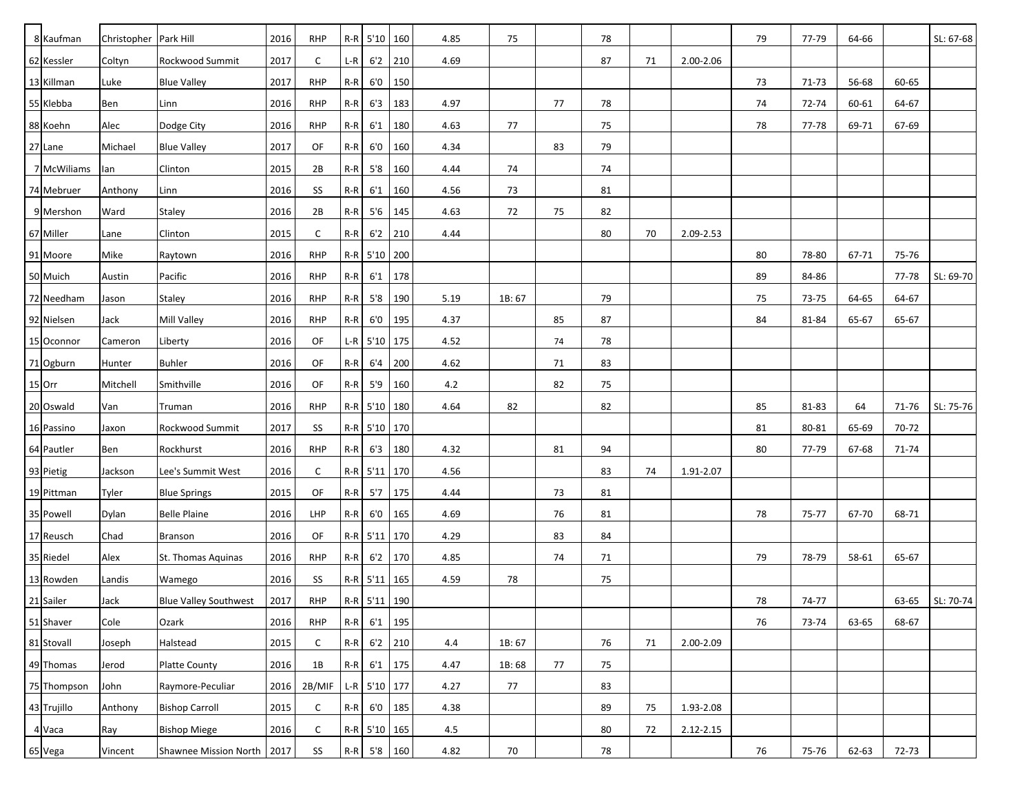| 8 Kaufman   | Christopher   Park Hill |                              | 2016 | <b>RHP</b> |       | $R-R$ 5'10 160   |           | 4.85 | 75     |    | 78         |    |               | 79     | 77-79 | 64-66 |       | SL: 67-68 |
|-------------|-------------------------|------------------------------|------|------------|-------|------------------|-----------|------|--------|----|------------|----|---------------|--------|-------|-------|-------|-----------|
| 62 Kessler  | Coltyn                  | Rockwood Summit              | 2017 | C          | $L-R$ | 6'2              | 210       | 4.69 |        |    | 87         | 71 | 2.00-2.06     |        |       |       |       |           |
| 13 Killman  | Luke                    | <b>Blue Valley</b>           | 2017 | <b>RHP</b> | $R-R$ | 6'0              | 150       |      |        |    |            |    |               | 73     | 71-73 | 56-68 | 60-65 |           |
| 55 Klebba   | Ben                     | Linn                         | 2016 | <b>RHP</b> | $R-R$ | 6'3              | 183       | 4.97 |        | 77 | 78         |    |               | 74     | 72-74 | 60-61 | 64-67 |           |
| 88 Koehn    | Alec                    | Dodge City                   | 2016 | <b>RHP</b> | $R-R$ | 6'1              | 180       | 4.63 | 77     |    | 75         |    |               | 78     | 77-78 | 69-71 | 67-69 |           |
| 27 Lane     | Michael                 | <b>Blue Valley</b>           | 2017 | OF         | $R-R$ | 6'0              | 160       | 4.34 |        | 83 | 79         |    |               |        |       |       |       |           |
| 7 McWiliams | lan                     | Clinton                      | 2015 | 2B         | $R-R$ | 5'8              | 160       | 4.44 | 74     |    | 74         |    |               |        |       |       |       |           |
| 74 Mebruer  | Anthony                 | Linn                         | 2016 | SS         | $R-R$ | 6'1              | 160       | 4.56 | 73     |    | 81         |    |               |        |       |       |       |           |
| 9 Mershon   | Ward                    | <b>Staley</b>                | 2016 | 2B         | $R-R$ | 5'6              | 145       | 4.63 | 72     | 75 | 82         |    |               |        |       |       |       |           |
| 67 Miller   | Lane                    | Clinton                      | 2015 | C          | $R-R$ | 6'2              | 210       | 4.44 |        |    | 80         | 70 | 2.09-2.53     |        |       |       |       |           |
| 91 Moore    | Mike                    | Raytown                      | 2016 | <b>RHP</b> |       | R-R 5'10 200     |           |      |        |    |            |    |               | 80     | 78-80 | 67-71 | 75-76 |           |
| 50 Muich    | Austin                  | Pacific                      | 2016 | <b>RHP</b> | $R-R$ | 6'1              | 178       |      |        |    |            |    |               | 89     | 84-86 |       | 77-78 | SL: 69-70 |
| 72 Needham  | Jason                   | <b>Staley</b>                | 2016 | <b>RHP</b> | $R-R$ | 5'8              | 190       | 5.19 | 1B: 67 |    | 79         |    |               | 75     | 73-75 | 64-65 | 64-67 |           |
| 92 Nielsen  | Jack                    | Mill Valley                  | 2016 | <b>RHP</b> | $R-R$ | 6'0              | 195       | 4.37 |        | 85 | 87         |    |               | 84     | 81-84 | 65-67 | 65-67 |           |
| 15 Oconnor  | Cameron                 | Liberty                      | 2016 | OF         | $L-R$ | $5'10$ 175       |           | 4.52 |        | 74 | 78         |    |               |        |       |       |       |           |
| 71 Ogburn   | Hunter                  | <b>Buhler</b>                | 2016 | OF         | $R-R$ | 6'4              | 200       | 4.62 |        | 71 | 83         |    |               |        |       |       |       |           |
| 15 Orr      | Mitchell                | Smithville                   | 2016 | OF         | $R-R$ | 5'9              | 160       | 4.2  |        | 82 | 75         |    |               |        |       |       |       |           |
| 20 Oswald   | Van                     | Truman                       | 2016 | <b>RHP</b> |       | R-R 5'10 180     |           | 4.64 | 82     |    | 82         |    |               | 85     | 81-83 | 64    | 71-76 | SL: 75-76 |
| 16 Passino  | Jaxon                   | Rockwood Summit              | 2017 | SS         |       | R-R 5'10 170     |           |      |        |    |            |    |               | 81     | 80-81 | 65-69 | 70-72 |           |
| 64 Pautler  | Ben                     | Rockhurst                    | 2016 | <b>RHP</b> | $R-R$ | 6'3              | 180       | 4.32 |        | 81 | 94         |    |               | 80     | 77-79 | 67-68 | 71-74 |           |
| 93 Pietig   | Jackson                 | Lee's Summit West            | 2016 | C          | $R-R$ | 5'11             | 170       | 4.56 |        |    | 83         | 74 | 1.91-2.07     |        |       |       |       |           |
| 19 Pittman  | Tyler                   | <b>Blue Springs</b>          | 2015 | OF         | $R-R$ | 5'7              | 175       | 4.44 |        | 73 | 81         |    |               |        |       |       |       |           |
| 35 Powell   | Dylan                   | <b>Belle Plaine</b>          | 2016 | <b>LHP</b> | $R-R$ | 6'0              | 165       | 4.69 |        | 76 | 81         |    |               | 78     | 75-77 | 67-70 | 68-71 |           |
| 17 Reusch   | Chad                    | <b>Branson</b>               | 2016 | OF         |       | $R-R$ 5'11       | 170       | 4.29 |        | 83 | 84         |    |               |        |       |       |       |           |
| 35 Riedel   | Alex                    | St. Thomas Aquinas           | 2016 | <b>RHP</b> | $R-R$ | 6'2              | 170       | 4.85 |        | 74 | 71         |    |               | 79     | 78-79 | 58-61 | 65-67 |           |
| 13 Rowden   | Landis                  | Wamego                       | 2016 | SS         |       | $R-R$ 5'11       | 165       | 4.59 | 78     |    | 75         |    |               |        |       |       |       |           |
| 21 Sailer   | Jack                    | <b>Blue Valley Southwest</b> | 2017 | <b>RHP</b> |       | R-R 5'11 190     |           |      |        |    |            |    |               | 78     | 74-77 |       | 63-65 | SL: 70-74 |
| 51 Shaver   | Cole                    | Ozark                        | 2016 | <b>RHP</b> | $R-R$ | 6'1              | 195       |      |        |    |            |    |               | 76     | 73-74 | 63-65 | 68-67 |           |
| 81 Stovall  | Joseph                  | Halstead                     | 2015 | C          | $R-R$ | 6'2              | 210       | 4.4  | 1B:67  |    | 76         | 71 | 2.00-2.09     |        |       |       |       |           |
| 49 Thomas   | Jerod                   | Platte County                | 2016 | 1B         | $R-R$ |                  | $6'1$ 175 | 4.47 | 1B:68  | 77 | 75         |    |               |        |       |       |       |           |
| 75 Thompson | John                    | Raymore-Peculiar             | 2016 | 2B/MIF     |       | $ L-R $ 5'10 177 |           | 4.27 | 77     |    | 83         |    |               |        |       |       |       |           |
| 43 Trujillo | Anthony                 | <b>Bishop Carroll</b>        | 2015 | C          | $R-R$ | 6'0              | 185       | 4.38 |        |    | 89         | 75 | 1.93-2.08     |        |       |       |       |           |
| 4 Vaca      | Ray                     | <b>Bishop Miege</b>          | 2016 | C          |       | $R-R$ 5'10 165   |           | 4.5  |        |    | 80         | 72 | $2.12 - 2.15$ |        |       |       |       |           |
| 65 Vega     | Vincent                 | Shawnee Mission North   2017 |      | SS         |       | $R-R$ 5'8 160    |           | 4.82 | $70\,$ |    | ${\bf 78}$ |    |               | $76\,$ | 75-76 | 62-63 | 72-73 |           |